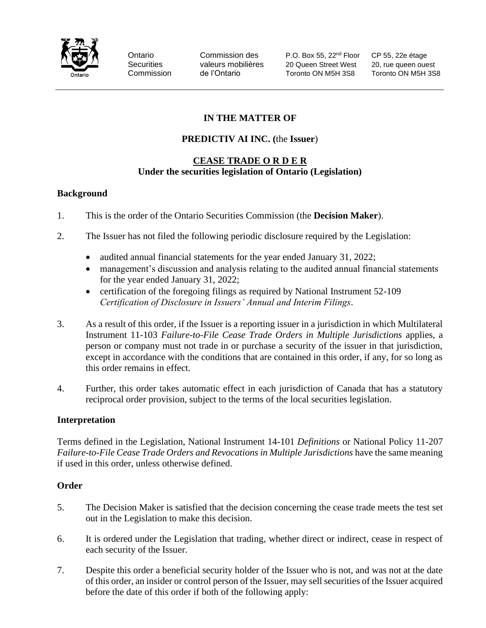

Ontario Commission des P.O. Box 55, 22nd Floor CP 55, 22e étage Securities valeurs mobilières 20 Queen Street West 20, rue queen ouest Commission de l'Ontario Toronto ON M5H 3S8 Toronto ON M5H 3S8

# **IN THE MATTER OF**

# **PREDICTIV AI INC. (**the **Issuer**)

### **CEASE TRADE O R D E R Under the securities legislation of Ontario (Legislation)**

### **Background**

- 1. This is the order of the Ontario Securities Commission (the **Decision Maker**).
- 2. The Issuer has not filed the following periodic disclosure required by the Legislation:
	- audited annual financial statements for the year ended January 31, 2022;
	- management's discussion and analysis relating to the audited annual financial statements for the year ended January 31, 2022;
	- certification of the foregoing filings as required by National Instrument 52-109 *Certification of Disclosure in Issuers' Annual and Interim Filings*.
- 3. As a result of this order, if the Issuer is a reporting issuer in a jurisdiction in which Multilateral Instrument 11-103 *Failure-to-File Cease Trade Orders in Multiple Jurisdictions* applies, a person or company must not trade in or purchase a security of the issuer in that jurisdiction, except in accordance with the conditions that are contained in this order, if any, for so long as this order remains in effect.
- 4. Further, this order takes automatic effect in each jurisdiction of Canada that has a statutory reciprocal order provision, subject to the terms of the local securities legislation.

## **Interpretation**

Terms defined in the Legislation, National Instrument 14-101 *Definitions* or National Policy 11-207 *Failure-to-File Cease Trade Orders and Revocations in Multiple Jurisdictions have the same meaning* if used in this order, unless otherwise defined.

## **Order**

- 5. The Decision Maker is satisfied that the decision concerning the cease trade meets the test set out in the Legislation to make this decision.
- 6. It is ordered under the Legislation that trading, whether direct or indirect, cease in respect of each security of the Issuer.
- 7. Despite this order a beneficial security holder of the Issuer who is not, and was not at the date of this order, an insider or control person of the Issuer, may sell securities of the Issuer acquired before the date of this order if both of the following apply: